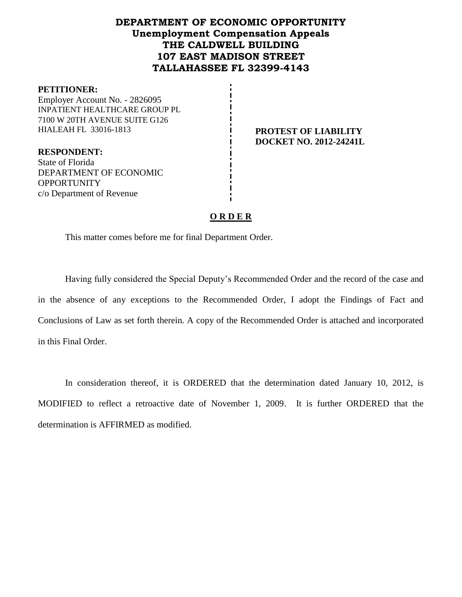# **DEPARTMENT OF ECONOMIC OPPORTUNITY Unemployment Compensation Appeals THE CALDWELL BUILDING 107 EAST MADISON STREET TALLAHASSEE FL 32399-4143**

#### **PETITIONER:**

Employer Account No. - 2826095 INPATIENT HEALTHCARE GROUP PL 7100 W 20TH AVENUE SUITE G126 HIALEAH FL 33016-1813 **PROTEST OF LIABILITY**

**DOCKET NO. 2012-24241L**

**RESPONDENT:** State of Florida DEPARTMENT OF ECONOMIC **OPPORTUNITY** c/o Department of Revenue

### **O R D E R**

This matter comes before me for final Department Order.

Having fully considered the Special Deputy's Recommended Order and the record of the case and in the absence of any exceptions to the Recommended Order, I adopt the Findings of Fact and Conclusions of Law as set forth therein. A copy of the Recommended Order is attached and incorporated in this Final Order.

In consideration thereof, it is ORDERED that the determination dated January 10, 2012, is MODIFIED to reflect a retroactive date of November 1, 2009. It is further ORDERED that the determination is AFFIRMED as modified.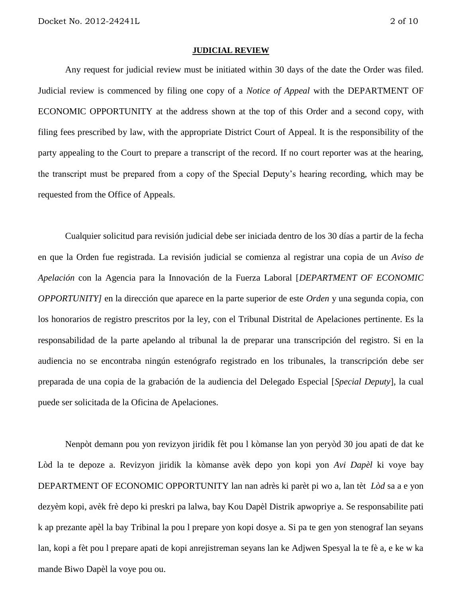#### **JUDICIAL REVIEW**

Any request for judicial review must be initiated within 30 days of the date the Order was filed. Judicial review is commenced by filing one copy of a *Notice of Appeal* with the DEPARTMENT OF ECONOMIC OPPORTUNITY at the address shown at the top of this Order and a second copy, with filing fees prescribed by law, with the appropriate District Court of Appeal. It is the responsibility of the party appealing to the Court to prepare a transcript of the record. If no court reporter was at the hearing, the transcript must be prepared from a copy of the Special Deputy's hearing recording, which may be requested from the Office of Appeals.

Cualquier solicitud para revisión judicial debe ser iniciada dentro de los 30 días a partir de la fecha en que la Orden fue registrada. La revisión judicial se comienza al registrar una copia de un *Aviso de Apelación* con la Agencia para la Innovación de la Fuerza Laboral [*DEPARTMENT OF ECONOMIC OPPORTUNITY]* en la dirección que aparece en la parte superior de este *Orden* y una segunda copia, con los honorarios de registro prescritos por la ley, con el Tribunal Distrital de Apelaciones pertinente. Es la responsabilidad de la parte apelando al tribunal la de preparar una transcripción del registro. Si en la audiencia no se encontraba ningún estenógrafo registrado en los tribunales, la transcripción debe ser preparada de una copia de la grabación de la audiencia del Delegado Especial [*Special Deputy*], la cual puede ser solicitada de la Oficina de Apelaciones.

Nenpòt demann pou yon revizyon jiridik fèt pou l kòmanse lan yon peryòd 30 jou apati de dat ke Lòd la te depoze a. Revizyon jiridik la kòmanse avèk depo yon kopi yon *Avi Dapèl* ki voye bay DEPARTMENT OF ECONOMIC OPPORTUNITY lan nan adrès ki parèt pi wo a, lan tèt *Lòd* sa a e yon dezyèm kopi, avèk frè depo ki preskri pa lalwa, bay Kou Dapèl Distrik apwopriye a. Se responsabilite pati k ap prezante apèl la bay Tribinal la pou l prepare yon kopi dosye a. Si pa te gen yon stenograf lan seyans lan, kopi a fèt pou l prepare apati de kopi anrejistreman seyans lan ke Adjwen Spesyal la te fè a, e ke w ka mande Biwo Dapèl la voye pou ou.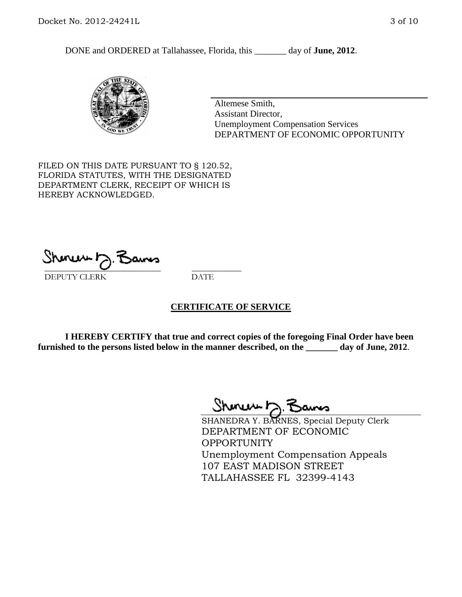DONE and ORDERED at Tallahassee, Florida, this \_\_\_\_\_\_\_ day of **June, 2012**.



Altemese Smith, Assistant Director, Unemployment Compensation Services DEPARTMENT OF ECONOMIC OPPORTUNITY

FILED ON THIS DATE PURSUANT TO § 120.52, FLORIDA STATUTES, WITH THE DESIGNATED DEPARTMENT CLERK, RECEIPT OF WHICH IS HEREBY ACKNOWLEDGED.

\_\_\_\_\_\_\_\_\_\_\_\_\_\_\_\_\_\_\_\_\_\_\_\_\_\_\_\_ \_\_\_\_\_\_\_\_\_\_\_\_ DEPUTY CLERK DATE

#### **CERTIFICATE OF SERVICE**

**I HEREBY CERTIFY that true and correct copies of the foregoing Final Order have been furnished to the persons listed below in the manner described, on the \_\_\_\_\_\_\_ day of June, 2012**.

Shoner D. Bams

SHANEDRA Y. BARNES, Special Deputy Clerk DEPARTMENT OF ECONOMIC OPPORTUNITY Unemployment Compensation Appeals 107 EAST MADISON STREET TALLAHASSEE FL 32399-4143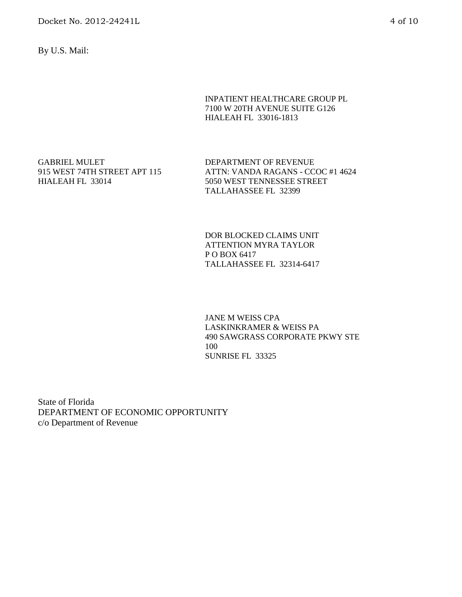By U.S. Mail:

INPATIENT HEALTHCARE GROUP PL 7100 W 20TH AVENUE SUITE G126 HIALEAH FL 33016-1813

GABRIEL MULET 915 WEST 74TH STREET APT 115 HIALEAH FL 33014

DEPARTMENT OF REVENUE ATTN: VANDA RAGANS - CCOC #1 4624 5050 WEST TENNESSEE STREET TALLAHASSEE FL 32399

DOR BLOCKED CLAIMS UNIT ATTENTION MYRA TAYLOR P O BOX 6417 TALLAHASSEE FL 32314-6417

JANE M WEISS CPA LASKINKRAMER & WEISS PA 490 SAWGRASS CORPORATE PKWY STE 100 SUNRISE FL 33325

State of Florida DEPARTMENT OF ECONOMIC OPPORTUNITY c/o Department of Revenue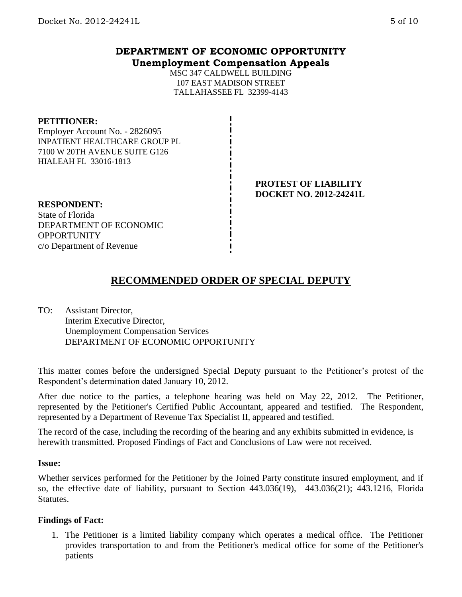## **DEPARTMENT OF ECONOMIC OPPORTUNITY Unemployment Compensation Appeals**

MSC 347 CALDWELL BUILDING 107 EAST MADISON STREET TALLAHASSEE FL 32399-4143

#### **PETITIONER:**

Employer Account No. - 2826095 INPATIENT HEALTHCARE GROUP PL 7100 W 20TH AVENUE SUITE G126 HIALEAH FL 33016-1813

### **PROTEST OF LIABILITY DOCKET NO. 2012-24241L**

**RESPONDENT:** State of Florida DEPARTMENT OF ECONOMIC **OPPORTUNITY** c/o Department of Revenue

# **RECOMMENDED ORDER OF SPECIAL DEPUTY**

TO: Assistant Director, Interim Executive Director, Unemployment Compensation Services DEPARTMENT OF ECONOMIC OPPORTUNITY

This matter comes before the undersigned Special Deputy pursuant to the Petitioner's protest of the Respondent's determination dated January 10, 2012.

After due notice to the parties, a telephone hearing was held on May 22, 2012. The Petitioner, represented by the Petitioner's Certified Public Accountant, appeared and testified. The Respondent, represented by a Department of Revenue Tax Specialist II, appeared and testified.

The record of the case, including the recording of the hearing and any exhibits submitted in evidence, is herewith transmitted. Proposed Findings of Fact and Conclusions of Law were not received.

#### **Issue:**

Whether services performed for the Petitioner by the Joined Party constitute insured employment, and if so, the effective date of liability, pursuant to Section 443.036(19), 443.036(21); 443.1216, Florida Statutes.

#### **Findings of Fact:**

1. The Petitioner is a limited liability company which operates a medical office. The Petitioner provides transportation to and from the Petitioner's medical office for some of the Petitioner's patients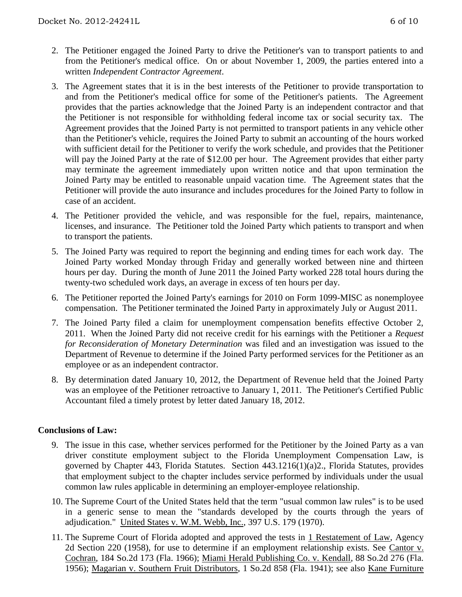- 2. The Petitioner engaged the Joined Party to drive the Petitioner's van to transport patients to and from the Petitioner's medical office. On or about November 1, 2009, the parties entered into a written *Independent Contractor Agreement*.
- 3. The Agreement states that it is in the best interests of the Petitioner to provide transportation to and from the Petitioner's medical office for some of the Petitioner's patients. The Agreement provides that the parties acknowledge that the Joined Party is an independent contractor and that the Petitioner is not responsible for withholding federal income tax or social security tax. The Agreement provides that the Joined Party is not permitted to transport patients in any vehicle other than the Petitioner's vehicle, requires the Joined Party to submit an accounting of the hours worked with sufficient detail for the Petitioner to verify the work schedule, and provides that the Petitioner will pay the Joined Party at the rate of \$12.00 per hour. The Agreement provides that either party may terminate the agreement immediately upon written notice and that upon termination the Joined Party may be entitled to reasonable unpaid vacation time. The Agreement states that the Petitioner will provide the auto insurance and includes procedures for the Joined Party to follow in case of an accident.
- 4. The Petitioner provided the vehicle, and was responsible for the fuel, repairs, maintenance, licenses, and insurance. The Petitioner told the Joined Party which patients to transport and when to transport the patients.
- 5. The Joined Party was required to report the beginning and ending times for each work day. The Joined Party worked Monday through Friday and generally worked between nine and thirteen hours per day. During the month of June 2011 the Joined Party worked 228 total hours during the twenty-two scheduled work days, an average in excess of ten hours per day.
- 6. The Petitioner reported the Joined Party's earnings for 2010 on Form 1099-MISC as nonemployee compensation. The Petitioner terminated the Joined Party in approximately July or August 2011.
- 7. The Joined Party filed a claim for unemployment compensation benefits effective October 2, 2011. When the Joined Party did not receive credit for his earnings with the Petitioner a *Request for Reconsideration of Monetary Determination* was filed and an investigation was issued to the Department of Revenue to determine if the Joined Party performed services for the Petitioner as an employee or as an independent contractor.
- 8. By determination dated January 10, 2012, the Department of Revenue held that the Joined Party was an employee of the Petitioner retroactive to January 1, 2011. The Petitioner's Certified Public Accountant filed a timely protest by letter dated January 18, 2012.

## **Conclusions of Law:**

- 9. The issue in this case, whether services performed for the Petitioner by the Joined Party as a van driver constitute employment subject to the Florida Unemployment Compensation Law, is governed by Chapter 443, Florida Statutes. Section 443.1216(1)(a)2., Florida Statutes, provides that employment subject to the chapter includes service performed by individuals under the usual common law rules applicable in determining an employer-employee relationship.
- 10. The Supreme Court of the United States held that the term "usual common law rules" is to be used in a generic sense to mean the "standards developed by the courts through the years of adjudication." United States v. W.M. Webb, Inc., 397 U.S. 179 (1970).
- 11. The Supreme Court of Florida adopted and approved the tests in 1 Restatement of Law, Agency 2d Section 220 (1958), for use to determine if an employment relationship exists. See Cantor v. Cochran, 184 So.2d 173 (Fla. 1966); Miami Herald Publishing Co. v. Kendall, 88 So.2d 276 (Fla. 1956); Magarian v. Southern Fruit Distributors, 1 So.2d 858 (Fla. 1941); see also Kane Furniture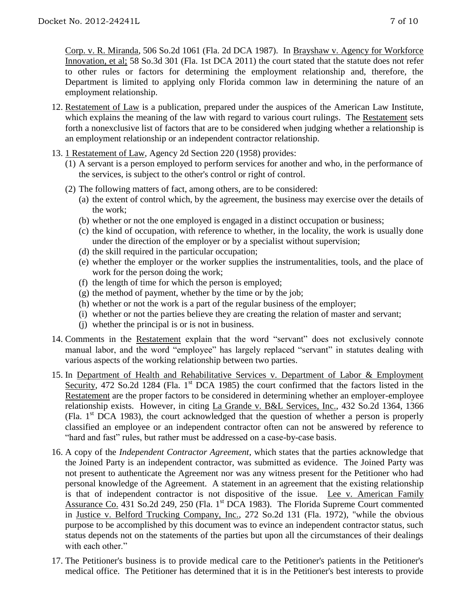Corp. v. R. Miranda, 506 So.2d 1061 (Fla. 2d DCA 1987). In Brayshaw v. Agency for Workforce Innovation, et al; 58 So.3d 301 (Fla. 1st DCA 2011) the court stated that the statute does not refer to other rules or factors for determining the employment relationship and, therefore, the Department is limited to applying only Florida common law in determining the nature of an employment relationship.

- 12. Restatement of Law is a publication, prepared under the auspices of the American Law Institute, which explains the meaning of the law with regard to various court rulings. The Restatement sets forth a nonexclusive list of factors that are to be considered when judging whether a relationship is an employment relationship or an independent contractor relationship.
- 13. 1 Restatement of Law, Agency 2d Section 220 (1958) provides:
	- (1) A servant is a person employed to perform services for another and who, in the performance of the services, is subject to the other's control or right of control.
	- (2) The following matters of fact, among others, are to be considered:
		- (a) the extent of control which, by the agreement, the business may exercise over the details of the work;
		- (b) whether or not the one employed is engaged in a distinct occupation or business;
		- (c) the kind of occupation, with reference to whether, in the locality, the work is usually done under the direction of the employer or by a specialist without supervision;
		- (d) the skill required in the particular occupation;
		- (e) whether the employer or the worker supplies the instrumentalities, tools, and the place of work for the person doing the work;
		- (f) the length of time for which the person is employed;
		- (g) the method of payment, whether by the time or by the job;
		- (h) whether or not the work is a part of the regular business of the employer;
		- (i) whether or not the parties believe they are creating the relation of master and servant;
		- (j) whether the principal is or is not in business.
- 14. Comments in the Restatement explain that the word "servant" does not exclusively connote manual labor, and the word "employee" has largely replaced "servant" in statutes dealing with various aspects of the working relationship between two parties.
- 15. In Department of Health and Rehabilitative Services v. Department of Labor & Employment Security, 472 So.2d 1284 (Fla. 1<sup>st</sup> DCA 1985) the court confirmed that the factors listed in the Restatement are the proper factors to be considered in determining whether an employer-employee relationship exists. However, in citing La Grande v. B&L Services, Inc., 432 So.2d 1364, 1366 (Fla.  $1<sup>st</sup> DCA$  1983), the court acknowledged that the question of whether a person is properly classified an employee or an independent contractor often can not be answered by reference to "hard and fast" rules, but rather must be addressed on a case-by-case basis.
- 16. A copy of the *Independent Contractor Agreement*, which states that the parties acknowledge that the Joined Party is an independent contractor, was submitted as evidence. The Joined Party was not present to authenticate the Agreement nor was any witness present for the Petitioner who had personal knowledge of the Agreement. A statement in an agreement that the existing relationship is that of independent contractor is not dispositive of the issue. Lee v. American Family Assurance Co. 431 So.2d 249, 250 (Fla. 1<sup>st</sup> DCA 1983). The Florida Supreme Court commented in Justice v. Belford Trucking Company, Inc., 272 So.2d 131 (Fla. 1972), "while the obvious purpose to be accomplished by this document was to evince an independent contractor status, such status depends not on the statements of the parties but upon all the circumstances of their dealings with each other."
- 17. The Petitioner's business is to provide medical care to the Petitioner's patients in the Petitioner's medical office. The Petitioner has determined that it is in the Petitioner's best interests to provide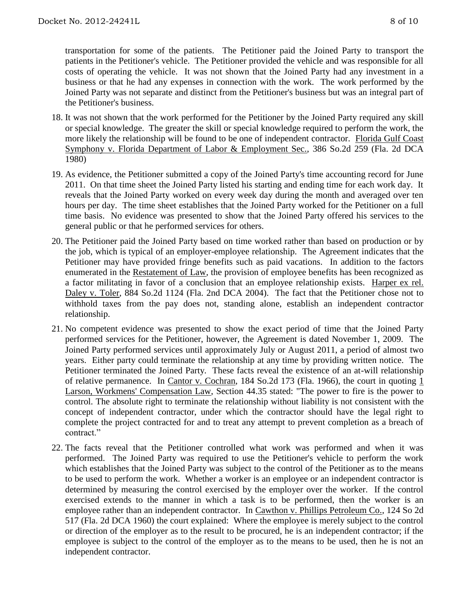transportation for some of the patients. The Petitioner paid the Joined Party to transport the patients in the Petitioner's vehicle. The Petitioner provided the vehicle and was responsible for all costs of operating the vehicle. It was not shown that the Joined Party had any investment in a business or that he had any expenses in connection with the work. The work performed by the Joined Party was not separate and distinct from the Petitioner's business but was an integral part of the Petitioner's business.

- 18. It was not shown that the work performed for the Petitioner by the Joined Party required any skill or special knowledge. The greater the skill or special knowledge required to perform the work, the more likely the relationship will be found to be one of independent contractor. Florida Gulf Coast Symphony v. Florida Department of Labor & Employment Sec., 386 So.2d 259 (Fla. 2d DCA 1980)
- 19. As evidence, the Petitioner submitted a copy of the Joined Party's time accounting record for June 2011. On that time sheet the Joined Party listed his starting and ending time for each work day. It reveals that the Joined Party worked on every week day during the month and averaged over ten hours per day. The time sheet establishes that the Joined Party worked for the Petitioner on a full time basis. No evidence was presented to show that the Joined Party offered his services to the general public or that he performed services for others.
- 20. The Petitioner paid the Joined Party based on time worked rather than based on production or by the job, which is typical of an employer-employee relationship. The Agreement indicates that the Petitioner may have provided fringe benefits such as paid vacations. In addition to the factors enumerated in the Restatement of Law, the provision of employee benefits has been recognized as a factor militating in favor of a conclusion that an employee relationship exists. Harper ex rel. Daley v. Toler, 884 So.2d 1124 (Fla. 2nd DCA 2004). The fact that the Petitioner chose not to withhold taxes from the pay does not, standing alone, establish an independent contractor relationship.
- 21. No competent evidence was presented to show the exact period of time that the Joined Party performed services for the Petitioner, however, the Agreement is dated November 1, 2009. The Joined Party performed services until approximately July or August 2011, a period of almost two years. Either party could terminate the relationship at any time by providing written notice. The Petitioner terminated the Joined Party. These facts reveal the existence of an at-will relationship of relative permanence. In Cantor v. Cochran, 184 So.2d 173 (Fla. 1966), the court in quoting 1 Larson, Workmens' Compensation Law, Section 44.35 stated: "The power to fire is the power to control. The absolute right to terminate the relationship without liability is not consistent with the concept of independent contractor, under which the contractor should have the legal right to complete the project contracted for and to treat any attempt to prevent completion as a breach of contract."
- 22. The facts reveal that the Petitioner controlled what work was performed and when it was performed. The Joined Party was required to use the Petitioner's vehicle to perform the work which establishes that the Joined Party was subject to the control of the Petitioner as to the means to be used to perform the work. Whether a worker is an employee or an independent contractor is determined by measuring the control exercised by the employer over the worker. If the control exercised extends to the manner in which a task is to be performed, then the worker is an employee rather than an independent contractor. In Cawthon v. Phillips Petroleum Co., 124 So 2d 517 (Fla. 2d DCA 1960) the court explained: Where the employee is merely subject to the control or direction of the employer as to the result to be procured, he is an independent contractor; if the employee is subject to the control of the employer as to the means to be used, then he is not an independent contractor.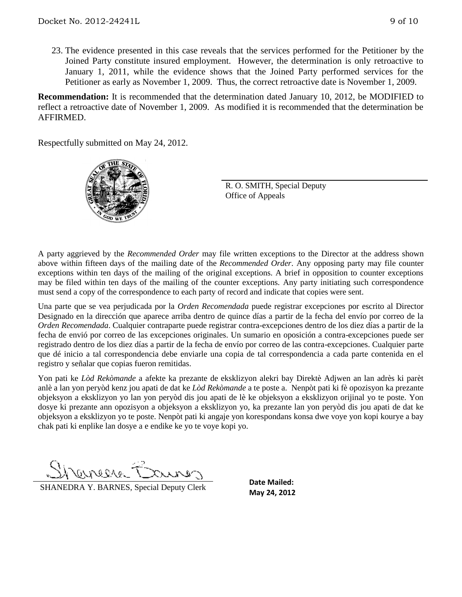23. The evidence presented in this case reveals that the services performed for the Petitioner by the Joined Party constitute insured employment. However, the determination is only retroactive to January 1, 2011, while the evidence shows that the Joined Party performed services for the Petitioner as early as November 1, 2009. Thus, the correct retroactive date is November 1, 2009.

**Recommendation:** It is recommended that the determination dated January 10, 2012, be MODIFIED to reflect a retroactive date of November 1, 2009. As modified it is recommended that the determination be AFFIRMED.

Respectfully submitted on May 24, 2012.



R. O. SMITH, Special Deputy Office of Appeals

A party aggrieved by the *Recommended Order* may file written exceptions to the Director at the address shown above within fifteen days of the mailing date of the *Recommended Order*. Any opposing party may file counter exceptions within ten days of the mailing of the original exceptions. A brief in opposition to counter exceptions may be filed within ten days of the mailing of the counter exceptions. Any party initiating such correspondence must send a copy of the correspondence to each party of record and indicate that copies were sent.

Una parte que se vea perjudicada por la *Orden Recomendada* puede registrar excepciones por escrito al Director Designado en la dirección que aparece arriba dentro de quince días a partir de la fecha del envío por correo de la *Orden Recomendada*. Cualquier contraparte puede registrar contra-excepciones dentro de los diez días a partir de la fecha de envió por correo de las excepciones originales. Un sumario en oposición a contra-excepciones puede ser registrado dentro de los diez días a partir de la fecha de envío por correo de las contra-excepciones. Cualquier parte que dé inicio a tal correspondencia debe enviarle una copia de tal correspondencia a cada parte contenida en el registro y señalar que copias fueron remitidas.

Yon pati ke *Lòd Rekòmande* a afekte ka prezante de eksklizyon alekri bay Direktè Adjwen an lan adrès ki parèt anlè a lan yon peryòd kenz jou apati de dat ke *Lòd Rekòmande* a te poste a. Nenpòt pati ki fè opozisyon ka prezante objeksyon a eksklizyon yo lan yon peryòd dis jou apati de lè ke objeksyon a eksklizyon orijinal yo te poste. Yon dosye ki prezante ann opozisyon a objeksyon a eksklizyon yo, ka prezante lan yon peryòd dis jou apati de dat ke objeksyon a eksklizyon yo te poste. Nenpòt pati ki angaje yon korespondans konsa dwe voye yon kopi kourye a bay chak pati ki enplike lan dosye a e endike ke yo te voye kopi yo.

CLIVELUS

**SHANEDRA Y. BARNES, Special Deputy Clerk** May 24, 2012

**Date Mailed:**